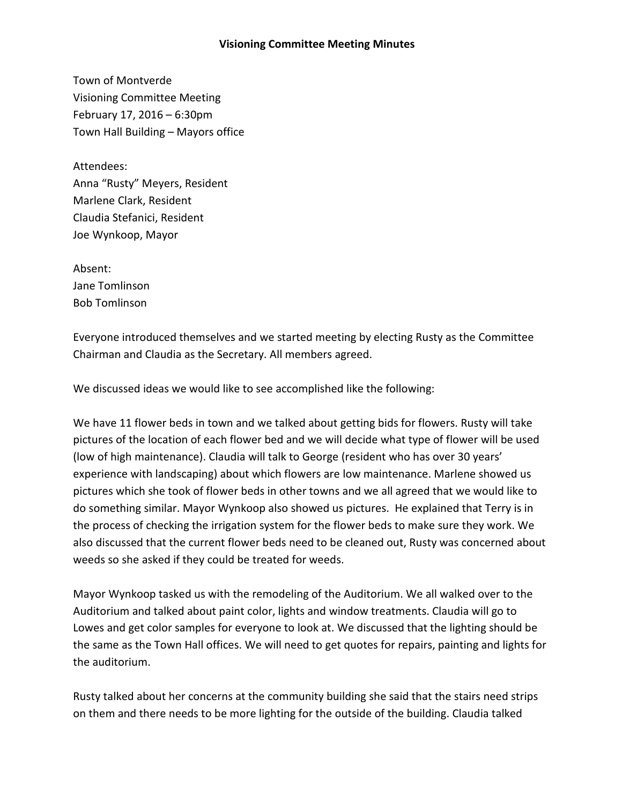## **Visioning Committee Meeting Minutes**

Town of Montverde Visioning Committee Meeting February 17, 2016 – 6:30pm Town Hall Building – Mayors office

Attendees: Anna "Rusty" Meyers, Resident Marlene Clark, Resident Claudia Stefanici, Resident Joe Wynkoop, Mayor

Absent: Jane Tomlinson Bob Tomlinson

Everyone introduced themselves and we started meeting by electing Rusty as the Committee Chairman and Claudia as the Secretary. All members agreed.

We discussed ideas we would like to see accomplished like the following:

We have 11 flower beds in town and we talked about getting bids for flowers. Rusty will take pictures of the location of each flower bed and we will decide what type of flower will be used (low of high maintenance). Claudia will talk to George (resident who has over 30 years' experience with landscaping) about which flowers are low maintenance. Marlene showed us pictures which she took of flower beds in other towns and we all agreed that we would like to do something similar. Mayor Wynkoop also showed us pictures. He explained that Terry is in the process of checking the irrigation system for the flower beds to make sure they work. We also discussed that the current flower beds need to be cleaned out, Rusty was concerned about weeds so she asked if they could be treated for weeds.

Mayor Wynkoop tasked us with the remodeling of the Auditorium. We all walked over to the Auditorium and talked about paint color, lights and window treatments. Claudia will go to Lowes and get color samples for everyone to look at. We discussed that the lighting should be the same as the Town Hall offices. We will need to get quotes for repairs, painting and lights for the auditorium.

Rusty talked about her concerns at the community building she said that the stairs need strips on them and there needs to be more lighting for the outside of the building. Claudia talked